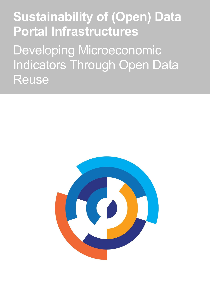# **Sustainability of (Open) Data Portal Infrastructures**

Developing Microeconomic Indicators Through Open Data Reuse

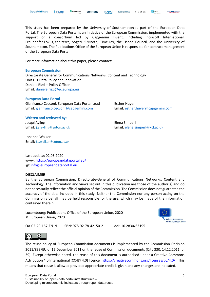This study has been prepared by the University of Southampton as part of the European Data Portal. The European Data Portal is an initiative of the European Commission, implemented with the support of a consortium led by Capgemini Invent, including Intrasoft International, Fraunhofer Fokus, con.terra, Sogeti, 52North, Time.Lex, the Lisbon Council, and the University of Southampton. The Publications Office of the European Union is responsible for contract management of the European Data Portal.

For more information about this paper, please contact:

#### **European Commission**

Directorate General for Communications Networks, Content and Technology Unit G.1 Data Policy and Innovation Daniele Rizzi – Policy Officer Email: [daniele.rizzi@ec.europa.eu](mailto:daniele.rizzi@ec.europa.eu) 

#### **European Data Portal**

Gianfranco Cecconi, European Data Portal Lead Esther Huyer Email: [gianfranco.cecconi@capgemini.com](mailto:gianfranco.cecconi@capgemini.com) Email: [esther.huyer@capgemini.com](mailto:esther.huyer@capgemini.com)

**Written and reviewed by:** Jacqui Ayling Elena Simperl

Johanna Walker Email: [j.c.walker@soton.ac.uk](mailto:j.c.walker@soton.ac.uk)

Email: [j.a.ayling@soton.ac.uk](mailto:j.a.ayling@soton.ac.uk) Email: [elena.simperl@kcl.ac.uk](mailto:elena.simperl@kcl.ac.uk)

Last update: 02.03.2020 www:<https://europeandataportal.eu/> @: [info@europeandataportal.eu](mailto:info@europeandataportal.eu) 

#### **DISCLAIMER**

By the European Commission, Directorate-General of Communications Networks, Content and Technology. The information and views set out in this publication are those of the author(s) and do not necessarily reflect the official opinion of the Commission. The Commission does not guarantee the accuracy of the data included in this study. Neither the Commission nor any person acting on the Commission's behalf may be held responsible for the use, which may be made of the information contained therein.

Luxembourg: Publications Office of the European Union, 2020 © European Union, 2020



OA-02-20-167-EN-N ISBN: 978-92-78-42150-2 doi: 10.2830/63195



The reuse policy of European Commission documents is implemented by the Commission Decision 2011/833/EU of 12 December 2011 on the reuse of Commission documents (OJ L 330, 14.12.2011, p. 39). Except otherwise noted, the reuse of this document is authorised under a Creative Commons Attribution 4.0 International (CC-BY 4.0) licence [\(https://creativecommons.org/licenses/by/4.0/\)](https://creativecommons.org/licenses/by/4.0/). This means that reuse is allowed provided appropriate credit is given and any changes are indicated.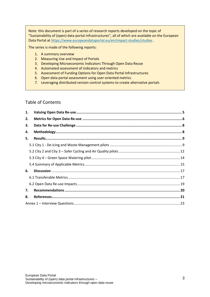Note: this document is part of a series of research reports developed on the topic of "Sustainability of (open) data portal infrastructures", all of which are available on the European Data Portal at<https://www.europeandataportal.eu/en/impact-studies/studies> .

The series is made of the following reports:

- 1. A summary overview
- 2. Measuring Use and Impact of Portals
- 3. Developing Microeconomic Indicators Through Open Data Reuse
- 4. Automated assessment of indicators and metrics
- 5. Assessment of Funding Options for Open Data Portal Infrastructures
- 6. Open data portal assessment using user-oriented metrics
- 7. Leveraging distributed version control systems to create alternative portals

#### Table of Contents

| 1. |  |
|----|--|
| 2. |  |
| 3. |  |
| 4. |  |
| 5. |  |
|    |  |
|    |  |
|    |  |
|    |  |
| 6. |  |
|    |  |
|    |  |
| 7. |  |
| 8. |  |
|    |  |
|    |  |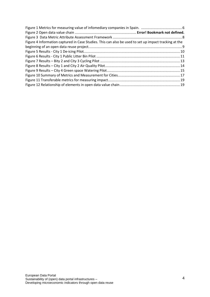| Figure 4 Information captured in Case Studies. This can also be used to set up impact tracking at the |  |
|-------------------------------------------------------------------------------------------------------|--|
|                                                                                                       |  |
|                                                                                                       |  |
|                                                                                                       |  |
|                                                                                                       |  |
|                                                                                                       |  |
|                                                                                                       |  |
|                                                                                                       |  |
|                                                                                                       |  |
|                                                                                                       |  |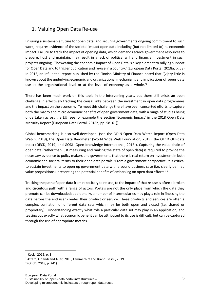## <span id="page-4-0"></span>1. Valuing Open Data Re-use

Ensuring a sustainable future for open data, and securing governments ongoing commitment to such work, requires evidence of the societal impact open data including (but not limited to) its economic impact. Failure to track the impact of opening data, which demands scarce government resources to prepare, host and maintain, may result in a lack of political will and financial investment in such projects ongoing. 'Showcasing the economic impact of Open Data is a key element to rallying support for Open Data and to trigger publication and re-use in a country.' (European Data Portal, 2018a, p. 58) In 2015, an influential report published by the Finnish Ministry of Finance noted that '[v]ery little is known about the underlying economic and organizational mechanisms and implications of open data use at the organizational level or at the level of economy as a whole.<sup>1</sup>

There has been much work on this topic in the intervening years, but there still exists an open challenge in effectively tracking the causal links between the investment in open data programmes and the impact on the economy.<sup>2</sup> To meet this challenge there have been concerted efforts to capture both the macro and micro economic benefits of open government data, with a range of studies being undertaken across the EU (see for example the section 'Economic Impact' in the 2018 Open Data Maturity Report (European Data Portal, 2018b, pp. 58–61)).

Global benchmarking is also well-developed, (see the ODIN Open Data Watch Report (Open Data Watch, 2019), the Open Data Barometer (World Wide Web Foundation, 2019), the OECD OURdata Index (OECD, 2019) and GODI (Open Knowledge International, 2018)). Capturing the value chain of open data (rather than just measuring and ranking the state of open data) is required to provide the necessary evidence to policy makers and governments that there is real return on investment in both economic and societal terms to their open data portals. 'From a government perspective, it is critical to sustain investments to open up government data with a sound business case (i.e. clearly defined value propositions), presenting the potential benefits of embarking on open data efforts.<sup>'3</sup>

Tracking the path of open data from repository to re-use, to the impact of that re-use is often a broken and circuitous path with a range of actors. Portals are not the only place from which the data they promote can be downloaded; additionally, a number of intermediaries may play a role in finessing the data before the end user creates their product or service. These products and services are often a complex conflation of different data sets which may be both open and closed (i.e. shared or proprietary). Understanding exactly what role a particular data set may play in an application, and teasing out exactly what economic benefit can be attributed to its use is difficult, but can be captured through the use of appropriate metrics.

<sup>1</sup> Koski, 2015, p. 3

<sup>2</sup> Attard, Orlandi and Auer, 2016; Lämmerhirt and Brandusescu, 2019

<sup>3</sup> (OECD, 2018, p. 241)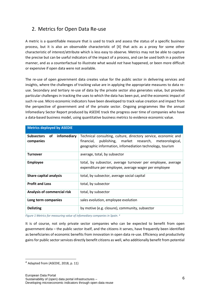# <span id="page-5-0"></span>2. Metrics for Open Data Re-use

A metric is a quantifiable measure that is used to track and assess the status of a specific business process, but it is also an observable characteristic of [X] that acts as a proxy for some other characteristic of interest/attribute which is less easy to observe. Metrics may not be able to capture the precise but can be useful indicators of the impact of a process, and can be used both in a positive manner, and as a counterfactual to illustrate what would *not* have happened, or been more difficult or expensive if open data were not available.

The re-use of open government data creates value for the public sector in delivering services and insights, where the challenges of tracking value are in applying the appropriate measures to data reuse. Secondary and tertiary re-use of data by the private sector also generates value, but provides particular challenges in tracking the uses to which the data has been put, and the economic impact of such re-use. Micro economic indicators have been developed to track value creation and impact from the perspective of government and of the private sector. Ongoing programmes like the annual Infomediary Sector Report produced by ASEDIE track the progress over time of companies who have a data-based business model, using quantitative business metrics to evidence economic value.

| <b>Metrics deployed by ASEDIE</b>            |                                                                                                                                                                                        |  |
|----------------------------------------------|----------------------------------------------------------------------------------------------------------------------------------------------------------------------------------------|--|
| infomediary<br>Subsectors<br>of<br>companies | Technical consulting, culture, directory service, economic and<br>financial, publishing, market research, meteorological,<br>geographic information, infomediation technology, tourism |  |
| <b>Turnover</b>                              | average, total, by subsector                                                                                                                                                           |  |
| <b>Employee</b>                              | total, by subsector, average turnover per employee, average<br>expenditure per employee, average wager per employee                                                                    |  |
| <b>Share capital analysis</b>                | total, by subsector, average social capital                                                                                                                                            |  |
| <b>Profit and Loss</b>                       | total, by subsector                                                                                                                                                                    |  |
| <b>Analysis of commercial risk</b>           | total, by subsector                                                                                                                                                                    |  |
| Long term companies                          | sales evolution, employee evolution                                                                                                                                                    |  |
| <b>Delisting</b>                             | by motive (e.g. closure), community, subsector                                                                                                                                         |  |

<span id="page-5-1"></span>*Figure 1 Metrics for measuring value of infomediary companies in Spain. <sup>4</sup>*

It is of course, not only private sector companies who can be expected to benefit from open government data – the public sector itself, and the citizens it serves, have frequently been identified as beneficiaries of economic benefits from innovation in open data re-use. Efficiency and productivity gains for public sector services directly benefit citizens as well, who additionally benefit from potential

<sup>4</sup> Adapted from (ASEDIE, 2018, p. 11)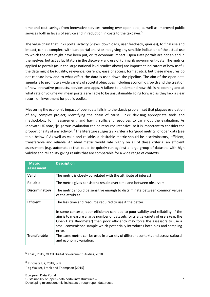time and cost savings from innovative services running over open data, as well as improved public services both in levels of service and in reduction in costs to the taxpayer.<sup>5</sup>

The value chain that links portal activity (views, downloads, user feedback, queries), to final use and impact, can be complex, with bare portal analytics not giving any sensible indication of the actual use to which the data might have been put, or its economic impact. Open Data portals are not an end in themselves, but act as facilitators in the discovery and use of (primarily government) data. The metrics applied to portals (as in the large national level studies above) are important indicators of how useful the data might be (quality, relevance, currency, ease of access, format etc.), but these measures do not capture how and to what effect the data is used down the pipeline. The aim of the open data agenda is to promote a wide variety of societal objectives including economic growth and the creation of new innovative products, services and apps. A failure to understand how this is happening and at what rate or volume will mean portals are liable to be unsustainable going forward as they lack a clear return on investment for public bodies.

Measuring the economic impact of open data falls into the classic problem set that plagues evaluation of any complex project; identifying the chain of causal links; devising appropriate tools and methodology for measurement, and having sufficient resources to carry out the evaluation. As Innovate UK note, '[r]igorous evaluation can be resource-intensive, so it is important to consider the proportionality of any activity.<sup>'6</sup> The literature suggests six criteria for 'good metrics' of open data (see table below.)<sup>7</sup> As well as valid and reliable, a desirable metric should be discriminatory, efficient, transferable and reliable. An ideal metric would rate highly on all of these criteria: an efficient assessment (e.g. automated) that could be quickly run against a large group of datasets with high validity and reliability giving results that are comparable for a wide range of contexts.

| <b>Metric</b><br><b>Assessment</b> | <b>Description</b>                                                                                                                                                                                                                                                                                                                                                                                              |
|------------------------------------|-----------------------------------------------------------------------------------------------------------------------------------------------------------------------------------------------------------------------------------------------------------------------------------------------------------------------------------------------------------------------------------------------------------------|
| <b>Valid</b>                       | The metric is closely correlated with the attribute of interest                                                                                                                                                                                                                                                                                                                                                 |
| Reliable                           | The metric gives consistent results over time and between observers                                                                                                                                                                                                                                                                                                                                             |
| <b>Discriminatory</b>              | The metric should be sensitive enough to discriminate between common values<br>of the attribute                                                                                                                                                                                                                                                                                                                 |
| <b>Efficient</b>                   | The less time and resource required to use it the better.<br>In some contexts, poor efficiency can lead to poor validity and reliability. If the<br>aim is to measure a large number of datasets for a large variety of users (e.g. the<br>Open Data Barometer) then poor efficiency may force the assessors to use a<br>small convenience sample which potentially introduces both bias and sampling<br>error. |
| <b>Transferable</b>                | The same metric can be used in a variety of different contexts and across cultural<br>and economic variation.                                                                                                                                                                                                                                                                                                   |

5 Koski, 2015; OECD Digital Government Studies, 2018

<sup>6</sup> Innovate UK, 2018, p. 8

<sup>&</sup>lt;sup>7</sup> eg Walker, Frank and Thompson (2015)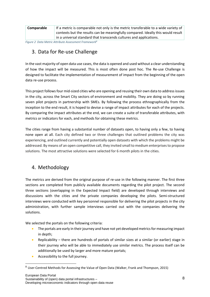| Comparable | If a metric is comparable not only is the metric transferable to a wide variety of |
|------------|------------------------------------------------------------------------------------|
|            | contexts but the results can be meaningfully compared. Ideally this would result   |
|            | in a universal standard that transcends cultures and applications.                 |

<span id="page-7-2"></span>*Figure 2 Data Metric Attribute Assessment Framework<sup>8</sup>*

# <span id="page-7-0"></span>3. Data for Re-use Challenge

In the vast majority of open data use cases, the data is opened and used without a clear understanding of how the impact will be measured. This is most often done post hoc. The Re-use Challenge is designed to facilitate the implementation of measurement of impact from the beginning of the open data re-use process.

This project follows four mid-sized cities who are opening and reusing their own data to address issues in the city, across the Smart City sectors of environment and mobility. They are doing so by running seven pilot projects in partnership with SMEs. By following the process ethnographically from the inception to the end result, it is hoped to devise a range of impact attributes for each of the projects. By comparing the impact attributes at the end, we can create a suite of transferable attributes, with metrics or indicators for each, and methods for obtaining these metrics.

The cities range from having a substantial number of datasets open, to having only a few, to having none open at all. Each city defined two or three challenges that outlined problems the city was experiencing, and outlined currently and potentially open datasets with which the problems might be addressed. By means of an open competitive call, they invited small to medium enterprises to propose solutions. The most attractive solutions were selected for 6 month pilots in the cities.

# <span id="page-7-1"></span>4. Methodology

The metrics are derived from the original purpose of re-use in the following manner. The first three sections are completed from publicly available documents regarding the pilot project. The second three sections (overlapping in the Expected Impact field) are developed through interviews and discussions with the cities and the private companies developing the pilots. Semi-structured interviews were conducted with key personnel responsible for delivering the pilot projects in the city administration, with further sample interviews carried out with the companies delivering the solutions.

We selected the portals on the following criteria:

- The portals are early in their journey and have not yet developed metrics for measuring impact in depth;
- Replicability there are hundreds of portals of similar sizes at a similar (or earlier) stage in their journey who will be able to immediately use similar metrics. The process itself can be additionally be used by larger and more mature portals;
- Accessibility to the full journey.

<sup>&</sup>lt;sup>8</sup> User-Centred Methods for Assessing the Value of Open Data (Walker, Frank and Thompson, 2015)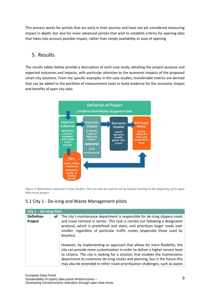This process works for portals that are early in their journey and have not yet considered measuring impact in depth; but also for more advanced portals that wish to establish criteria for opening data that takes into account possible impact, rather than simply availability or ease of opening.

### <span id="page-8-0"></span>5. Results

The results tables below provide a description of each case study, detailing the project purpose and expected outcomes and impacts, with particular attention to the economic impacts of the proposed smart city solutions. From the specific examples in the case studies, transferable metrics are derived that can be added to the portfolio of measurement tools to build evidence for the economic impact and benefits of open city data.



<span id="page-8-2"></span>*Figure 3 Information captured in Case Studies. This can also be used to set up impact tracking at the beginning of an open data reuse project.*

#### <span id="page-8-1"></span>5.1 City 1 - De-icing and Waste Management pilots

| City 1 - De-icing Pilot            |                                                                                                                                                                                                                                                                                                                                                                                                              |  |
|------------------------------------|--------------------------------------------------------------------------------------------------------------------------------------------------------------------------------------------------------------------------------------------------------------------------------------------------------------------------------------------------------------------------------------------------------------|--|
| <b>Definition</b><br>οf<br>Project | The city's maintenance department is responsible for de-icing slippery roads<br>and snow removal in winter. This task is carried out following a designated<br>protocol, which is predefined and static, and prioritises larger roads over<br>smaller, regardless of particular traffic routes (especially those used by<br>bicycles).                                                                       |  |
|                                    | However, by implementing an approach that allows for more flexibility, the<br>city can provide more customization in order to deliver a higher service level<br>to citizens. The city is looking for a solution that enables the maintenance<br>department to customize de-icing routes and planning, but in the future this<br>may also be extended to other route prioritisation challenges, such as waste |  |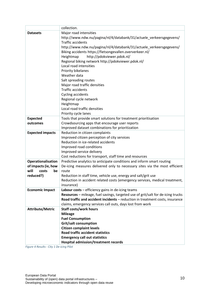|                                      | collection.                                                                         |
|--------------------------------------|-------------------------------------------------------------------------------------|
| <b>Datasets</b>                      | Major road intensities                                                              |
|                                      | http://www.ndw.nu/pagina/nl/4/databank/31/actuele_verkeersgegevens/                 |
|                                      | <b>Traffic accidents</b>                                                            |
|                                      | http://www.ndw.nu/pagina/nl/4/databank/31/actuele verkeersgegevens/                 |
|                                      | Biking accidents https://fietsongevallen.oververkeer.nl/                            |
|                                      | http://pdokviewer.pdok.nl/<br>Heightmap                                             |
|                                      | Regional biking network http://pdokviewer.pdok.nl/                                  |
|                                      | Local road intensities                                                              |
|                                      | Priority bikelanes                                                                  |
|                                      | Weather data                                                                        |
|                                      | Salt spreading routes                                                               |
|                                      | Major road traffic densities                                                        |
|                                      | <b>Traffic accidents</b>                                                            |
|                                      | <b>Cycling accidents</b>                                                            |
|                                      | Regional cycle network                                                              |
|                                      | Heightmap                                                                           |
|                                      | Local road traffic densities                                                        |
|                                      | Priority cycle lanes                                                                |
| <b>Expected</b>                      | Tools that provide smart solutions for treatment prioritisation                     |
| outcomes                             | Crowdsourcing apps that encourage user reports                                      |
|                                      | Improved dataset combinations for prioritization                                    |
| <b>Expected impacts</b>              | Reduction in citizen complaints                                                     |
|                                      | Improved citizen perception of city services                                        |
|                                      | Reduction in ice-related accidents                                                  |
|                                      | Improved road conditions                                                            |
|                                      | Improved service delivery                                                           |
|                                      | Cost reductions for transport, staff time and resources                             |
| <b>Operationalisation</b>            | Predictive analytics to anticipate conditions and inform smart routing              |
| of impacts (ie, how<br>will<br>costs | De-icing measures delivered only to necessary sites via the most efficient<br>route |
| be<br>reduced?)                      | Reduction in staff time, vehicle use, energy and salt/grit use                      |
|                                      | Reduction in accident related costs (emergency services, medical treatment,         |
|                                      | insurance)                                                                          |
| <b>Economic Impact</b>               | Labour costs - efficiency gains in de-icing teams                                   |
|                                      | Resources - mileage, fuel savings, targeted use of grit/salt for de-icing trucks    |
|                                      | Road traffic and accident incidents - reduction in treatment costs, insurance       |
|                                      | claims, emergency services call outs, days lost from work                           |
| <b>Attribute/Metric</b>              | <b>Staff costs/work hours</b>                                                       |
|                                      | <b>Mileage</b>                                                                      |
|                                      | <b>Fuel Consumption</b>                                                             |
|                                      | <b>Grit/salt consumption</b>                                                        |
|                                      | <b>Citizen complaint levels</b>                                                     |
|                                      | <b>Road traffic accident statistics</b>                                             |
|                                      | <b>Emergency call out statistics</b>                                                |
|                                      | Hospital admission/treatment records                                                |

<span id="page-9-0"></span>*Figure 4 Results - City 1 De-icing Pilot*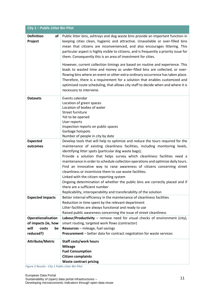| City 1 - Public Litter Bin Pilot   |                                                                                                                                                                                                                                                                                                                                                                                                                                                                                                                                                                                                                                                                                                                                                                    |  |
|------------------------------------|--------------------------------------------------------------------------------------------------------------------------------------------------------------------------------------------------------------------------------------------------------------------------------------------------------------------------------------------------------------------------------------------------------------------------------------------------------------------------------------------------------------------------------------------------------------------------------------------------------------------------------------------------------------------------------------------------------------------------------------------------------------------|--|
| <b>Definition</b><br>of<br>Project | Public litter bins, ashtrays and dog waste bins provide an important function in<br>keeping cities clean, hygienic and attractive. Unavailable or over-filled bins<br>mean that citizens are inconvenienced, and also encourages littering. This<br>particular aspect is highly visible to citizens, and is frequently a priority issue for<br>them. Consequently this is an area of investment for cities.                                                                                                                                                                                                                                                                                                                                                        |  |
|                                    | However, current collection timings are based on routine and experience. This<br>leads to wasted time and money as under-filled bins are collected, or over-<br>flowing bins where an event or other extra-ordinary occurrence has taken place.<br>Therefore, there is a requirement for a solution that enables customized and<br>optimised route scheduling, that allows city staff to decide when and where it is<br>necessary to intervene.                                                                                                                                                                                                                                                                                                                    |  |
| <b>Datasets</b>                    | Events calendar<br>Location of green spaces<br>Location of bodies of water<br>Street furniture<br>Yet to be opened<br>User reports<br>Inspection reports on public spaces<br>Garbage hotspots<br>Number of people in city by date                                                                                                                                                                                                                                                                                                                                                                                                                                                                                                                                  |  |
| <b>Expected</b><br>outcomes        | Develop tools that will help to optimize and reduce the tours required for the<br>maintenance of existing cleanliness facilities, including monitoring levels,<br>identifying litter spots (particular dog waste bags);<br>Provide a solution that helps survey which cleanliness facilities need a<br>maintenance in order to schedule collection operations and optimize daily tours.<br>Find an innovative way to raise awareness of citizens concerning street<br>cleanliness or incentivize them to use waste facilities.<br>Linked with the citizen reporting system<br>Ongoing determination of whether the public bins are correctly placed and if<br>there are a sufficient number<br>Replicability, interoperability and transferability of the solution |  |
| <b>Expected impacts</b>            | Better internal efficiency in the maintenance of cleanliness facilities<br>Reduction in time spent by the relevant department<br>Litter facilities are always functional and ready to use<br>Raised public awareness concerning the issue of street cleanliness                                                                                                                                                                                                                                                                                                                                                                                                                                                                                                    |  |
| Operationalisation                 | Labour/Productivity - remove need for visual checks of environment (city),                                                                                                                                                                                                                                                                                                                                                                                                                                                                                                                                                                                                                                                                                         |  |
| of impacts (ie, how                | smart routing, targeted work flows (contractor)                                                                                                                                                                                                                                                                                                                                                                                                                                                                                                                                                                                                                                                                                                                    |  |
| will<br>costs<br>be                | Resources - mileage, fuel savings                                                                                                                                                                                                                                                                                                                                                                                                                                                                                                                                                                                                                                                                                                                                  |  |
| reduced?)                          | Procurement - better data for contract negotiation for waste services                                                                                                                                                                                                                                                                                                                                                                                                                                                                                                                                                                                                                                                                                              |  |
| <b>Attribute/Metric</b>            | <b>Staff costs/work hours</b><br><b>Mileage</b><br><b>Fuel Consumption</b><br><b>Citizen complaints</b><br><b>Waste contract pricing</b>                                                                                                                                                                                                                                                                                                                                                                                                                                                                                                                                                                                                                           |  |

<span id="page-10-0"></span>*Figure 5 Results - City 1 Public Litter Bin Pilot*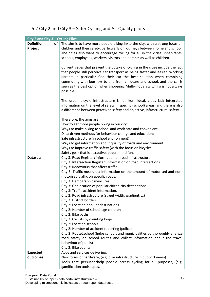# <span id="page-11-0"></span>5.2 City 2 and City 3 – Safer Cycling and Air Quality pilots

| City 2 and City 3 - Cycling Pilot |                                                                                                                                              |
|-----------------------------------|----------------------------------------------------------------------------------------------------------------------------------------------|
| <b>Definition</b><br>of           | The aim is to have more people biking in/to the city, with a strong focus on                                                                 |
| Project                           | children and their safety, particularly on journeys between home and school.                                                                 |
|                                   | The cities also want to encourage cycling for all in the cities: inhabitants,                                                                |
|                                   | schools, employees, workers, visitors and parents as well as children.                                                                       |
|                                   |                                                                                                                                              |
|                                   | Current issues that prevent the uptake of cycling in the cities include the fact                                                             |
|                                   | that people still perceive car transport as being faster and easier. Working                                                                 |
|                                   | parents in particular find their car the best solution when combining                                                                        |
|                                   | commuting with journeys to and from childcare and school, and the car is                                                                     |
|                                   | seen as the best option when shopping. Multi-modal switching is not always                                                                   |
|                                   | possible.                                                                                                                                    |
|                                   |                                                                                                                                              |
|                                   | The urban bicycle infrastructure is far from ideal, cities lack integrated                                                                   |
|                                   | information on the level of safety in specific (school) areas, and there is also                                                             |
|                                   | a difference between perceived safety and objective, infrastructural safety.                                                                 |
|                                   | Therefore, the aims are:                                                                                                                     |
|                                   | How to get more people biking in our city;                                                                                                   |
|                                   | Ways to make biking to school and work safe and convenient;                                                                                  |
|                                   | Data-driven methods for behaviour change and education;                                                                                      |
|                                   | Safe infrastructure (in school environment);                                                                                                 |
|                                   | Ways to get information about quality of roads and environment;                                                                              |
|                                   | Ways to improve traffic safety (with the focus on bicycles);                                                                                 |
|                                   | Safety gear that is attractive, popular and fun.                                                                                             |
| <b>Datasets</b>                   | City 3: Road Register: information on road infrastructure.                                                                                   |
|                                   | City 3: Intersection Register: information on road intersections.                                                                            |
|                                   | City 3: Roadworks that affect traffic.                                                                                                       |
|                                   | City 3: Traffic measures: information on the amount of motorised and non-                                                                    |
|                                   | motorised traffic on specific roads.                                                                                                         |
|                                   | City 3: Demographic measures.                                                                                                                |
|                                   | City 3: Geolocation of popular citizen city destinations.<br>City 3: Traffic accident information.                                           |
|                                   | City 2: Road infrastructure (street width, gradient, )                                                                                       |
|                                   | City 2: District borders                                                                                                                     |
|                                   | City 2: Location popular destinations                                                                                                        |
|                                   | City 2: Number of school-age children                                                                                                        |
|                                   | City 2: Bike paths                                                                                                                           |
|                                   | City 2: Cyclists by counting loops                                                                                                           |
|                                   | City 2: Location schools                                                                                                                     |
|                                   | City 2: Number of accident reporting (police)                                                                                                |
|                                   | City 2: Route2school (helps schools and municipalities by thoroughly analyze                                                                 |
|                                   | road safety on school routes and collect information about the travel                                                                        |
|                                   | behaviour of pupils)                                                                                                                         |
|                                   | City 2: Bike counts                                                                                                                          |
| <b>Expected</b>                   | Apps and services delivering:                                                                                                                |
| outcomes                          | New forms of hardware; (e.g. bike infrastructure in public domain)<br>Tools that persuade/help people access cycling for all purposes; (e.g. |
|                                   | gamification tools, apps, )                                                                                                                  |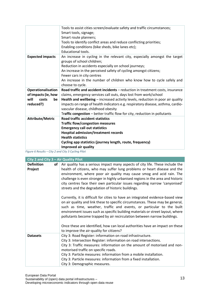|                         | Tools to assist cities screen/evaluate safety and traffic circumstances;<br>Smart tools, signage;<br>Smart route planners;<br>Tools to identify conflict areas and reduce conflicting priorities;<br>Enabling conditions (bike sheds, bike lanes etc);<br>Educational tools.                                                                                      |
|-------------------------|-------------------------------------------------------------------------------------------------------------------------------------------------------------------------------------------------------------------------------------------------------------------------------------------------------------------------------------------------------------------|
| <b>Expected impacts</b> | An increase in cycling in the relevant city, especially amongst the target<br>groups of school children;<br>Reduction in accidents especially on school journeys;<br>An increase in the perceived safety of cycling amongst citizens;<br>Fewer cars in city centres<br>An increase in the number of children who know how to cycle safely and<br>choose to cycle. |
| Operationalisation      | Road traffic and accident incidents - reduction in treatment costs, insurance                                                                                                                                                                                                                                                                                     |
| of impacts (ie, how     | claims, emergency services call outs, days lost from work/school                                                                                                                                                                                                                                                                                                  |
|                         |                                                                                                                                                                                                                                                                                                                                                                   |
| will<br>costs<br>be     | Health and wellbeing – increased activity levels, reduction in poor air quality                                                                                                                                                                                                                                                                                   |
| reduced?)               | impacts on range of health indicators e.g. respiratory disease, asthma, cardio-                                                                                                                                                                                                                                                                                   |
|                         | vascular disease, childhood obesity                                                                                                                                                                                                                                                                                                                               |
|                         | Traffic congestion - better traffic flow for city, reduction in pollutants                                                                                                                                                                                                                                                                                        |
| <b>Attribute/Metric</b> | <b>Road traffic accident statistics</b>                                                                                                                                                                                                                                                                                                                           |
|                         | <b>Traffic flow/congestion measures</b>                                                                                                                                                                                                                                                                                                                           |
|                         | <b>Emergency call out statistics</b>                                                                                                                                                                                                                                                                                                                              |
|                         | <b>Hospital admission/treatment records</b>                                                                                                                                                                                                                                                                                                                       |
|                         | <b>Health statistics</b>                                                                                                                                                                                                                                                                                                                                          |
|                         | Cycling app statistics (journey length, route, frequency)                                                                                                                                                                                                                                                                                                         |

<span id="page-12-0"></span>*Figure 6 Results – City 2 and City 3 Cycling Pilot*

| City 2 and City 3 - Air Quality Pilot |    |                                                                                                                                                                                                                                                                                                                                                                                                          |
|---------------------------------------|----|----------------------------------------------------------------------------------------------------------------------------------------------------------------------------------------------------------------------------------------------------------------------------------------------------------------------------------------------------------------------------------------------------------|
| <b>Definition</b><br>Project          | of | Air quality has a serious impact many aspects of city life. These include the<br>health of citizens, who may suffer lung problems or heart disease and the                                                                                                                                                                                                                                               |
|                                       |    | environment, where poor air quality may cause smog and acid rain. The                                                                                                                                                                                                                                                                                                                                    |
|                                       |    | challenge is even stronger in highly urbanised regions in the area and historic<br>city centres face their own particular issues regarding narrow 'canyonised'                                                                                                                                                                                                                                           |
|                                       |    | streets and the degradation of historic buildings.                                                                                                                                                                                                                                                                                                                                                       |
|                                       |    | Currently, it is difficult for cities to have an integrated evidence-based view<br>on air quality and link these to specific circumstances. These may be general,<br>such as time, weather, traffic and events, or particular to the built<br>environment issues such as specific building materials or street layout, where<br>pollutants become trapped by air recirculation between narrow buildings. |
|                                       |    | Once these are identified, how can local authorities have an impact on these                                                                                                                                                                                                                                                                                                                             |
|                                       |    | to improve the air-quality for citizens?                                                                                                                                                                                                                                                                                                                                                                 |
| <b>Datasets</b>                       |    | City 3: Road Register: information on road infrastructure.                                                                                                                                                                                                                                                                                                                                               |
|                                       |    | City 3: Intersection Register: information on road intersections.                                                                                                                                                                                                                                                                                                                                        |
|                                       |    | City 3: Traffic measures: information on the amount of motorised and non-<br>motorised traffic on specific roads.                                                                                                                                                                                                                                                                                        |
|                                       |    | City 3: Particle measures: information from a mobile installation.                                                                                                                                                                                                                                                                                                                                       |
|                                       |    | City 3: Particle measures: information from a fixed installation.                                                                                                                                                                                                                                                                                                                                        |
|                                       |    | City 3: Demographic measures.                                                                                                                                                                                                                                                                                                                                                                            |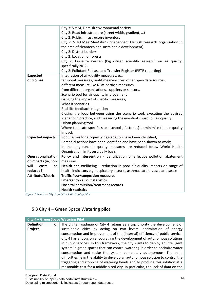|                                  | City 3: VMM, Flemish environmental society<br>City 2: Road infrastructure (street width, gradient, )<br>City 2: Public infrastructure inventory<br>City 2: VITO MeetMeeCity2 (independent Flemish research organisation in<br>the area of cleantech and sustainable development)<br>City 2: District borders<br>City 2: Location of forests<br>City 2: Curieuze neuzen (big citizen scientific research on air quality,<br>specifically NO2)<br>City 2: Pollutant Release and Transfer Register (PRTR reporting)                                                                                                                                  |
|----------------------------------|---------------------------------------------------------------------------------------------------------------------------------------------------------------------------------------------------------------------------------------------------------------------------------------------------------------------------------------------------------------------------------------------------------------------------------------------------------------------------------------------------------------------------------------------------------------------------------------------------------------------------------------------------|
| <b>Expected</b><br>outcomes      | Integration of air-quality measures, e.g.<br>temporal measures, real-time measures, other open data sources;<br>different measure like NOx, particle measures;<br>from different organisations, suppliers or sensors.<br>Scenario tool for air-quality improvement<br>Gauging the impact of specific measures;<br>What-if scenarios.<br>Real-life feedback integration<br>Closing the loop between using the scenario tool, executing the advised<br>scenario in practice, and measuring the eventual impact on air-quality;<br>Urban planning tool<br>Where to locate specific sites (schools, factories) to minimise the air-quality<br>impact. |
| <b>Expected impacts</b>          | Root causes for air-quality degradation have been identified;<br>Remedial actions have been identified and have been shown to work;<br>In the long run, air quality measures are reduced below World Health<br>Organisation limits on a daily basis.                                                                                                                                                                                                                                                                                                                                                                                              |
| Operationalisation               | Policy and intervention - identification of effective pollution abatement                                                                                                                                                                                                                                                                                                                                                                                                                                                                                                                                                                         |
| of impacts (ie, how              | measures                                                                                                                                                                                                                                                                                                                                                                                                                                                                                                                                                                                                                                          |
| will<br>costs<br>be<br>reduced?) | Health and wellbeing - reduction in poor air quality impacts on range of<br>health indicators e.g. respiratory disease, asthma, cardio-vascular disease                                                                                                                                                                                                                                                                                                                                                                                                                                                                                           |
| <b>Attribute/Metric</b>          | <b>Traffic flow/congestion measures</b>                                                                                                                                                                                                                                                                                                                                                                                                                                                                                                                                                                                                           |
|                                  | <b>Emergency call out statistics</b>                                                                                                                                                                                                                                                                                                                                                                                                                                                                                                                                                                                                              |
|                                  | Hospital admission/treatment records                                                                                                                                                                                                                                                                                                                                                                                                                                                                                                                                                                                                              |
|                                  | <b>Health statistics</b>                                                                                                                                                                                                                                                                                                                                                                                                                                                                                                                                                                                                                          |

<span id="page-13-1"></span>*Figure 7 Results – City 1 and City 2 Air Quality Pilot*

# <span id="page-13-0"></span>5.3 City 4 – Green Space Watering pilot

| City 4 - Green Space Watering Pilot |                                                                                                                                                                                                                                                                                                                                                                                                                                                                                                                                                        |  |  |
|-------------------------------------|--------------------------------------------------------------------------------------------------------------------------------------------------------------------------------------------------------------------------------------------------------------------------------------------------------------------------------------------------------------------------------------------------------------------------------------------------------------------------------------------------------------------------------------------------------|--|--|
| <b>Definition</b><br>of             | The digital roadmap of City 4 retains as a top priority the development of                                                                                                                                                                                                                                                                                                                                                                                                                                                                             |  |  |
| Project                             | sustainable cities by acting on two levers: optimization of energy<br>consumption and improvement of the (internal) efficiency of public service.<br>City 4 has a focus on encouraging the development of autonomous solutions<br>in public services. In this framework, the city wants to deploy an intelligent<br>system in green spaces that can control watering in order to optimize water<br>consumption and make the system completely autonomous. The main<br>difficulties lie in the ability to develop an autonomous solution to control the |  |  |
|                                     | triggering and stopping of watering heads and to produce this solution at a<br>reasonable cost for a middle-sized city. In particular, the lack of data on the                                                                                                                                                                                                                                                                                                                                                                                         |  |  |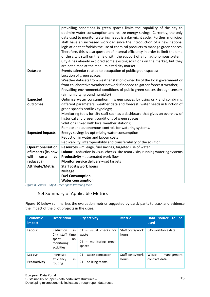|                         | prevailing conditions in green spaces limits the capability of the city to         |
|-------------------------|------------------------------------------------------------------------------------|
|                         | optimize water consumption and realize energy savings. Currently, the only         |
|                         | data used to monitor watering heads is a day-night cycle. Further, municipal       |
|                         | staff have an increased workload since the introduction of a new national          |
|                         | legislation that forbids the use of chemical products to manage green spaces.      |
|                         | Therefore, this is also question of internal efficiency in order to limit the time |
|                         | of the city's staff on the field with the support of a full autonomous system.     |
|                         | City 4 has already explored some existing solutions on the market, but they        |
|                         | are not aimed at the medium-sized city market.                                     |
| <b>Datasets</b>         | Events calendar related to occupation of public green spaces;                      |
|                         | Location of green spaces;                                                          |
|                         | Weather datasets from weather station owned by of the local government or          |
|                         | from collaborative weather network if needed to gather forecast weather;           |
|                         | Prevailing environmental conditions of public green spaces through sensors         |
|                         | (air humidity; ground humidity)                                                    |
| <b>Expected</b>         | Optimise water consumption in green spaces by using or / and combining             |
| outcomes                | different parameters: weather data and forecast; water needs in function of        |
|                         | green space's profile / typology;                                                  |
|                         | Monitoring tools for city staff such as a dashboard that gives an overview of      |
|                         | historical and present conditions of green spaces;                                 |
|                         | Solutions linked with local weather stations;                                      |
|                         | Remote and autonomous controls for watering systems.                               |
| <b>Expected impacts</b> | Energy savings by optimizing water consumption                                     |
|                         | Reduction in water and labour costs                                                |
|                         | Replicability, interoperability and transferability of the solution                |
| Operationalisation      | Resources - mileage, fuel savings, targeted use of water                           |
| of impacts (ie, how     | Labour - reduction in visual checks, site team visits, running watering systems    |
| will<br>costs<br>be     | Productivity - automated work flow                                                 |
| reduced?)               | Monitor service delivery - set targets                                             |
| <b>Attribute/Metric</b> | <b>Staff costs/work hours</b>                                                      |
|                         | <b>Mileage</b>                                                                     |
|                         | <b>Fuel Consumption</b>                                                            |
|                         | <b>Water consumption</b>                                                           |

<span id="page-14-1"></span><span id="page-14-0"></span>*Figure 8 Results – City 4 Green space Watering Pilot*

# 5.4 Summary of Applicable Metrics

Figure 10 below summarises the evaluation metrics suggested by participants to track and evidence the impact of the pilot projects in the cities.

| <b>Economic</b><br>impact | <b>Description</b>                                                             | <b>City activity</b>                                                      | <b>Metric</b>             | <b>Data</b><br>source to be<br>used  |
|---------------------------|--------------------------------------------------------------------------------|---------------------------------------------------------------------------|---------------------------|--------------------------------------|
| Labour                    | Reduction<br>in<br>City staff time<br>spent<br>on.<br>monitoring<br>activities | $C1 -$ visual checks for<br>waste<br>monitoring green<br>$C4 -$<br>spaces | Staff costs/work<br>hours | City workforce data                  |
| Labour<br>Productivity    | Increased<br>in<br>efficiency<br>routing                                       | $C1$ – waste contractor<br>$C1 -$ de-icing teams                          | Staff costs/work<br>hours | Waste<br>management<br>contract data |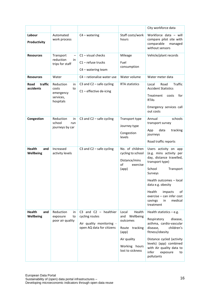|                                   |                                                                       |                                                                                                    |                                                                                                                                                | City workforce data                                                                                                                                                                                                                                                                |
|-----------------------------------|-----------------------------------------------------------------------|----------------------------------------------------------------------------------------------------|------------------------------------------------------------------------------------------------------------------------------------------------|------------------------------------------------------------------------------------------------------------------------------------------------------------------------------------------------------------------------------------------------------------------------------------|
| Labour<br>Productivity            | Automated<br>work process                                             | $C4 - watering$                                                                                    | Staff costs/work<br>hours                                                                                                                      | Workforce data - will<br>compare pilot site with<br>comparable<br>managed<br>without sensors                                                                                                                                                                                       |
| <b>Resources</b>                  | Transport<br>reduction<br>in<br>trips for staff                       | $C1 -$ visual checks<br>$C1$ – refuse trucks<br>$C4 - watering team$                               | Mileage<br>Fuel<br>consumption                                                                                                                 | Vehicle/plant records                                                                                                                                                                                                                                                              |
| <b>Resources</b>                  | Water                                                                 | C4 - rationalise water use                                                                         | Water volume                                                                                                                                   | Water meter data                                                                                                                                                                                                                                                                   |
| traffic<br>Road<br>accidents      | Reduction<br>in<br>costs<br>to<br>emergency<br>services,<br>hospitals | C3 and C2 $-$ safe cycling<br>$C1$ – effective de-icing                                            | <b>RTA statistics</b>                                                                                                                          | <b>Traffic</b><br>Road<br>Local<br><b>Accident Statistics</b><br>Treatment<br>for<br>costs<br><b>RTAs</b><br>Emergency services call<br>out costs                                                                                                                                  |
| Congestion                        | Reduction<br>in<br>school<br>run<br>journeys by car                   | C3 and C2 $-$ safe cycling                                                                         | Transport type<br>Journey type<br>Congestion<br>levels                                                                                         | schools<br>Annual<br>transport survey<br>data<br>App<br>tracking<br>journeys<br>Road traffic reports                                                                                                                                                                               |
| <b>Health</b><br>and<br>Wellbeing | Increased<br>activity levels                                          | C3 and C2 $-$ safe cycling                                                                         | No. of children<br>cycling to school<br>Distance/mins<br>of<br>exercise<br>(ap <sub>p</sub> )                                                  | Users activity on app<br>(e.g. mins activity per<br>day, distance travelled,<br>transport type)<br>School<br>Transport<br>Surveys<br>Health outcomes - local<br>data e.g. obesity<br>Health<br>of<br>impacts<br>exercise - can infer cost<br>medical<br>savings<br>in<br>treatment |
| <b>Health</b><br>and<br>Wellbeing | Reduction<br>in<br>exposure<br>to<br>poor air quality                 | C3 and C2 $-$ healthier<br>cycling routes<br>Air quality monitoring -<br>open AQ data for citizens | Health<br>Local<br>Wellbeing<br>and<br>outcomes<br>tracking<br>Route<br>(ap <sub>p</sub> )<br>Air quality<br>Working hours<br>lost to sickness | Health statistics $-$ e.g.<br>Respiratory<br>disease,<br>asthma, cardio-vascular<br>disease,<br>children's<br>fitness/obesity<br>Distance cycled (activity<br>levels) (app) combined<br>with Air quality data to<br>infer<br>exposure<br>to<br>pollutants                          |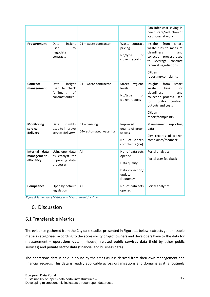|                                             |                                                                         |                                          |                                                                                       | Can infer cost saving in<br>health care/reduction of<br>lost hours at work                                                                                                                   |
|---------------------------------------------|-------------------------------------------------------------------------|------------------------------------------|---------------------------------------------------------------------------------------|----------------------------------------------------------------------------------------------------------------------------------------------------------------------------------------------|
| Procurement                                 | insight<br>Data<br>used<br>to<br>negotiate<br>contracts                 | $C1$ – waste contractor                  | Waste contract<br>pricing<br>No/type<br>of<br>citizen reports                         | Insights<br>from<br>smart<br>waste bins to measure<br>cleanliness<br>and<br>collection process used<br>leverage<br>contract<br>to<br>renewal negotiations<br>Citizen<br>reporting/complaints |
| <b>Contract</b><br>management               | Data<br>insight<br>used to check<br>fulfilment<br>of<br>contract duties | $C1$ – waste contractor                  | Street<br>hygiene<br>levels<br>No/type<br>of<br>citizen reports                       | from<br>Insights<br>smart<br>bins<br>waste<br>for<br>cleanliness<br>and<br>collection process used<br>monitor<br>contract<br>to<br>outputs and costs<br>Citizen<br>report/complaints         |
| <b>Monitoring</b><br>service<br>delivery    | insights<br>Data<br>used to improve<br>service delivery                 | $C1 -$ de-icing<br>C4-automated watering | Improved<br>quality of green<br>spaces<br>No. of citizen<br>complaints (ice)          | Management reporting<br>data<br>City records of citizen<br>complaints/feedback                                                                                                               |
| Internal data<br>management -<br>efficiency | Using open data<br>as catalyst for<br>improving data<br>processes       | All                                      | No. of data sets<br>opened<br>Data quality<br>Data collection/<br>update<br>frequency | Portal analytics<br>Portal user feedback                                                                                                                                                     |
| Compliance                                  | Open by default<br>legislation                                          | All                                      | No. of data sets<br>opened                                                            | Portal analytics                                                                                                                                                                             |

<span id="page-16-2"></span><span id="page-16-0"></span>*Figure 9 Summary of Metrics and Measurement for Cities*

## 6. Discussion

#### <span id="page-16-1"></span>6.1 Transferable Metrics

The evidence gathered from the City case studies presented in Figure 11 below, extracts generalizable metrics categorised according to the accessibility project owners and developers have to the data for measurement – **operations data** (in-house), **related public services data** (held by other public services) and **private sector data** (financial and business data).

The operations data is held in-house by the cities as it is derived from their own management and financial records. This data is readily applicable across organisations and domains as it is routinely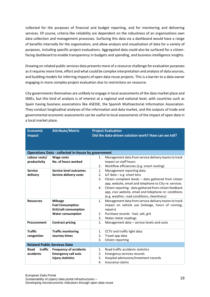collected for the purposes of financial and budget reporting, and for monitoring and delivering services. Of course, criteria like reliability are dependent on the robustness of an organisations own data collection and management processes. Surfacing this data via a dashboard would have a range of benefits internally for the organisation, and allow analysis and visualisation of data for a variety of purposes, including specific project evaluations. Aggregated data could also be surfaced for a citizenfacing dashboard to enable transparency in budgets and spending, and business intelligence insights.

Drawing on related public services data presents more of a resource challenge for evaluation purposes as it requires more time, effort and what could be complex interpretation and analysis of data sources, and building models for inferring impacts of open data reuse projects. This is a barrier to a data owner engaging in more complex project evaluation due to restrictions on resource.

City governments themselves are unlikely to engage in local assessments of the data market place and SMEs, but this kind of analysis is of interest at a regional and national level, with countries such as Spain having business associations like ASEDIE, the Spanish Multisectorial Information Association. They conduct longitudinal analyses of the information and data market, and the outputs of trade and governmental economic assessments can be useful to local assessments of the impact of open data in a local market place.

| Economic<br>Impact                  | <b>Attribute/Metric</b>                                   | <b>Project Evaluation</b><br>Did the data-driven solution work? How can we tell? |                                                         |
|-------------------------------------|-----------------------------------------------------------|----------------------------------------------------------------------------------|---------------------------------------------------------|
|                                     | <b>Operations Data - collected in-house by government</b> |                                                                                  |                                                         |
| Labour costs/                       | <b>Wage costs</b>                                         | 1.                                                                               | Management data from service delivery teams to track    |
| productivity                        | No. of hours worked                                       |                                                                                  | impact on staff hours                                   |
|                                     |                                                           | 2.                                                                               | Workflow efficiencies (e.g. smart routing)              |
| <b>Service</b>                      | Service level outcomes                                    | 1.                                                                               | Management reporting data                               |
| delivery                            | Service delivery costs                                    | 2.                                                                               | $I$ oT data – e.g. smart bins                           |
|                                     |                                                           | 3.                                                                               | Citizen complaint levels - data gathered from citizen   |
|                                     |                                                           |                                                                                  | app, website, email and telephone to City re: services  |
|                                     |                                                           | 4.                                                                               | Citizen reporting - data gathered from citizen feedback |
|                                     |                                                           |                                                                                  | app, civic website, email and telephone re: conditions  |
|                                     |                                                           |                                                                                  | (e.g. weather, road conditions, cleanliness)            |
| <b>Resources</b>                    | <b>Mileage</b>                                            | 1.                                                                               | Management data from service delivery teams to track    |
|                                     | <b>Fuel Consumption</b>                                   |                                                                                  | impact on vehicle use (mileage, hours of running,       |
|                                     | Grit/salt consumption                                     |                                                                                  | repairs)                                                |
|                                     | <b>Water consumption</b>                                  | 2.                                                                               | Purchase records - fuel, salt, grit                     |
|                                     |                                                           | 3.                                                                               | Water meter readings                                    |
| Procurement                         | <b>Contract pricing</b>                                   | 1.                                                                               | Management data – service levels and costs              |
| <b>Traffic</b>                      | <b>Traffic monitoring</b>                                 | 1.                                                                               | CCTV and traffic light data                             |
| congestion                          | Journey times                                             | 2.                                                                               | Travel app data                                         |
|                                     |                                                           | 3.                                                                               | Citizen reporting                                       |
| <b>Related Public Services Data</b> |                                                           |                                                                                  |                                                         |
| Road<br>traffic                     | <b>Frequency of accidents</b>                             | 1.                                                                               | Road traffic accidents statistics                       |
| accidents                           | <b>Emergency call outs</b>                                | 2.                                                                               | Emergency services records                              |
|                                     | <b>Injury statistics</b>                                  | 3.                                                                               | Hospital admissions/treatment records                   |
|                                     |                                                           | 4.                                                                               | Insurance claims                                        |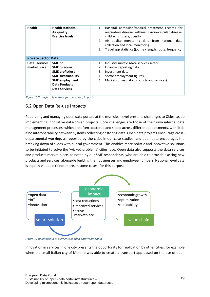| <b>Health</b>                 | <b>Health statistics</b><br>Air quality<br><b>Exercise levels</b>                                                                                              | Hospital admission/medical treatment records for<br>1.<br>respiratory disease, asthma, cardio-vascular disease,<br>children's fitness/obesity<br>2. Air quality monitoring data from national data<br>collection and local monitoring<br>Travel app statistics (journey length, route, frequency)<br>3. |
|-------------------------------|----------------------------------------------------------------------------------------------------------------------------------------------------------------|---------------------------------------------------------------------------------------------------------------------------------------------------------------------------------------------------------------------------------------------------------------------------------------------------------|
| <b>Private Sector Data</b>    |                                                                                                                                                                |                                                                                                                                                                                                                                                                                                         |
| Data services<br>market place | SME no.<br><b>SME</b> turnover<br><b>SME</b> profit/loss<br><b>SME sustainability</b><br><b>SME</b> employment<br><b>Data Products</b><br><b>Data Services</b> | Industry surveys (data services sector)<br>1.<br>Financial reporting data<br>2.<br>3.<br>Investment data<br>Sector employment figures<br>4.<br>Market survey data (products and services)<br>5.                                                                                                         |

<span id="page-18-1"></span>*Figure 10 Transferable metrics for measuring impact*

#### <span id="page-18-0"></span>6.2 Open Data Re-use Impacts

Populating and managing open data portals at the municipal level presents challenges to Cities, as do implementing innovative data-driven projects. Core challenges are those of their own internal data management processes, which are often scattered and siloed across different departments, with little if no interoperability between systems collecting or storing data. Open data projects encourage crossdepartmental working, as reported by the cities in our case studies, and open data encourages the breaking down of siloes within local government. This enables more holistic and innovative solutions to be initiated to solve the 'wicked problems' cities face. Open data also supports the data services and products market place, as noted by our SME respondents, who are able to provide exciting new products and services, alongside building their businesses and employee numbers. National level data is equally valuable (if not more, in some cases) for this purpose.



<span id="page-18-2"></span>*Figure 11 Relationship of elements in open data value chain*

Innovation in services in one city presents the opportunity for replication by other cities, for example when the small Italian city of Merano was able to create a transport app based on the use of open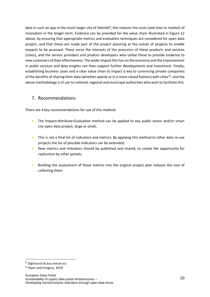data in such an app in the much larger city of Helsinki<sup>9</sup>; this reduces the costs (and time to market) of innovation in the longer term. Evidence can be provided for the value chain illustrated in Figure 12 above, by ensuring that appropriate metrics and evaluation techniques are considered for open data project, and that these are made part of the project planning at the outset of projects to enable impacts to be assessed. These serve the interests of the procurers of these products and services (cities), and the service providers and product developers who utilise these to provide evidence to new customers of their effectiveness. The wider impact this has on the economy and the improvement in public services and data insights can then support further developments and investment. Finally, establishing business cases and a clear value chain to impact is key to convincing private companies of the benefits of sharing their data (whether openly or in a more closed fashion) with cities<sup>10</sup>, and the above methodology is of use to national, regional and municipal authorities who wish to facilitate this.

#### <span id="page-19-0"></span>7. Recommendations

There are 4 key recommendations for use of this method:

- The Impact>Attribute>Evaluation method can be applied to any public sector and/or smart city open data project, large or small;
- This is not a final list of indicators and metrics. By applying this method to other data re-use projects the list of possible indicators can be extended;
- New metrics and indicators should be published and shared, to create the opportunity for replication by other portals;
- Building the assessment of these metrics into the original project plan reduces the cost of collecting them.

 $9$  Digitransit & bus.meran.eu

<sup>10</sup> Ryan and Gregory, 2019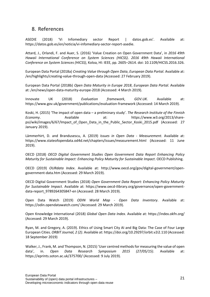#### <span id="page-20-0"></span>8. References

ASEDIE (2018) 'Vi Infomediary sector Report | datos.gob.es'. Available at: https://datos.gob.es/en/noticia/vi-infomediary-sector-report-asedie.

Attard, J., Orlandi, F. and Auer, S. (2016) 'Value Creation on Open Government Data', in *2016 49th Hawaii International Conference on System Sciences (HICSS)*. *2016 49th Hawaii International Conference on System Sciences (HICSS)*, Koloa, HI: IEEE, pp. 2605–2614. doi: 10.1109/HICSS.2016.326.

European Data Portal (2018a) *Creating Value through Open Data*, *European Data Portal*. Available at: /en/highlights/creating-value-through-open-data (Accessed: 27 February 2019).

European Data Portal (2018b) *Open Data Maturity in Europe 2018*, *European Data Portal*. Available at: /en/news/open-data-maturity-europe-2018 (Accessed: 4 March 2019).

Innovate UK (2018) *Evaluation framework*, *GOV.UK*. Available at: https://www.gov.uk/government/publications/evaluation-framework (Accessed: 14 March 2019).

Koski, H. (2015) 'The impact of open data – a preliminary study'. *The Research Institute of the Finnish Economy*. Available at: https://www.w3.org/2013/sharepsi/wiki/images/6/67/Impact of Open Data in the Public Sector Koski 2015.pdf (Accessed: 27 January 2019).

Lämmerhirt, D. and Brandusescu, A. (2019) *Issues in Open Data - Measurement*. Available at: https://www.stateofopendata.od4d.net/chapters/issues/measurement.html (Accessed: 11 June 2019).

OECD (2018) *OECD Digital Government Studies Open Government Data Report Enhancing Policy Maturity for Sustainable Impact: Enhancing Policy Maturity for Sustainable Impact*. OECD Publishing.

OECD (2019) *OURdata Index*. Available at: http://www.oecd.org/gov/digital-government/opengovernment-data.htm (Accessed: 29 March 2019).

OECD Digital Government Studies (2018) *Open Government Data Report: Enhancing Policy Maturity for Sustainable Impact*. Available at: https://www.oecd-ilibrary.org/governance/open-governmentdata-report\_9789264305847-en (Accessed: 28 March 2019).

Open Data Watch (2019) *ODIN World Map - Open Data Inventory*. Available at: https://odin.opendatawatch.com/ (Accessed: 29 March 2019).

Open Knowledge International (2018) *Global Open Data Index*. Available at: https://index.okfn.org/ (Accessed: 29 March 2019).

Ryan, M. and Gregory, A. (2019). Ethics of Using Smart City AI and Big Data: The Case of Four Large European Cities. *ORBIT Journal, 2 (2)*. Available at: https://doi.org/10.29297/orbit.v2i2.110 (Accessed: 18 September 2019)

Walker, J., Frank, M. and Thompson, N. (2015) 'User centred methods for measuring the value of open data', in. *Open Data Research Symposium 2015 (27/05/15)*. Available at: https://eprints.soton.ac.uk/375700/ (Accessed: 9 July 2019).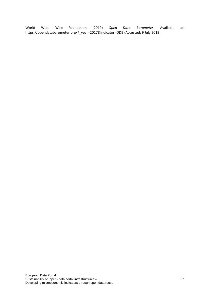World Wide Web Foundation (2019) *Open Data Barometer*. Available at: https://opendatabarometer.org/?\_year=2017&indicator=ODB (Accessed: 9 July 2019).